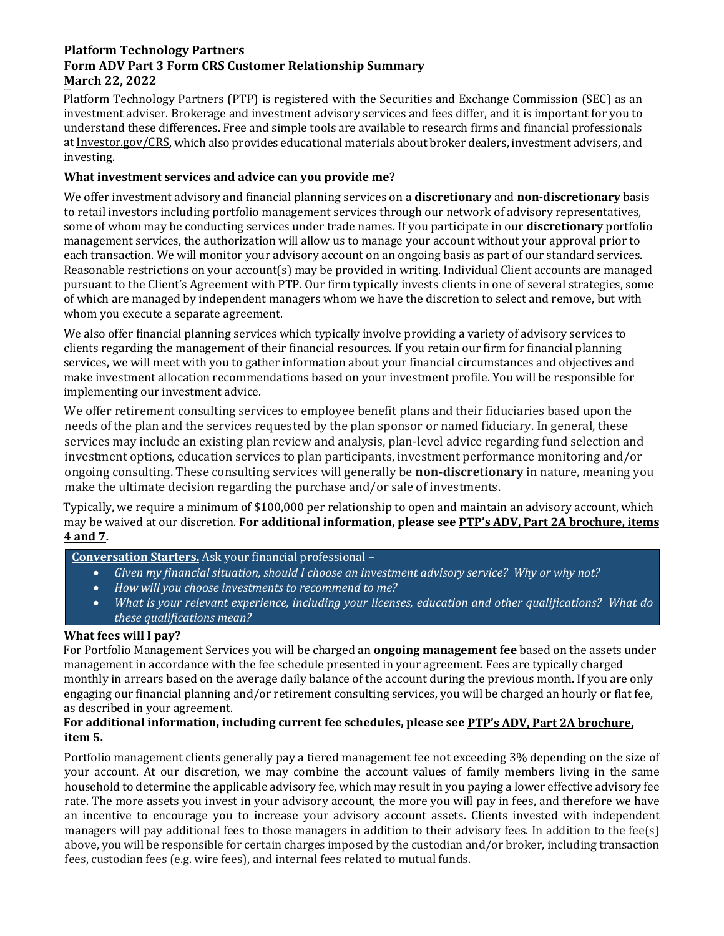# **Platform Technology Partners Form ADV Part 3 Form CRS Customer Relationship Summary March 22, 2022**

March Platform Technology Partners (PTP) is registered with the Securities and Exchange Commission (SEC) as an investment adviser. Brokerage and investment advisory services and fees differ, and it is important for you to understand these differences. Free and simple tools are available to research firms and financial professionals a[t Investor.gov/CRS,](https://www.investor.gov/home/welcome-investor-gov-crs) which also provides educational materials about broker dealers, investment advisers, and investing.

# **What investment services and advice can you provide me?**

We offer investment advisory and financial planning services on a **discretionary** and **non-discretionary** basis to retail investors including portfolio management services through our network of advisory representatives, some of whom may be conducting services under trade names. If you participate in our **discretionary** portfolio management services, the authorization will allow us to manage your account without your approval prior to each transaction. We will monitor your advisory account on an ongoing basis as part of our standard services. Reasonable restrictions on your account(s) may be provided in writing. Individual Client accounts are managed pursuant to the Client's Agreement with PTP. Our firm typically invests clients in one of several strategies, some of which are managed by independent managers whom we have the discretion to select and remove, but with whom you execute a separate agreement.

We also offer financial planning services which typically involve providing a variety of advisory services to clients regarding the management of their financial resources. If you retain our firm for financial planning services, we will meet with you to gather information about your financial circumstances and objectives and make investment allocation recommendations based on your investment profile. You will be responsible for implementing our investment advice.

We offer retirement consulting services to employee benefit plans and their fiduciaries based upon the needs of the plan and the services requested by the plan sponsor or named fiduciary. In general, these services may include an existing plan review and analysis, plan-level advice regarding fund selection and investment options, education services to plan participants, investment performance monitoring and/or ongoing consulting. These consulting services will generally be **non-discretionary** in nature, meaning you make the ultimate decision regarding the purchase and/or sale of investments.

Typically, we require a minimum of \$100,000 per relationship to open and maintain an advisory account, which may be waived at our discretion. **For additional information, please see PTP's [ADV, Part 2A brochure, items](https://adviserinfo.sec.gov/firm/summary/305602)  [4 and 7.](https://adviserinfo.sec.gov/firm/summary/305602)** 

# **Conversation Starters.** Ask your financial professional –

- *Given my financial situation, should I choose an investment advisory service? Why or why not?*
- *How will you choose investments to recommend to me?*
- *What is your relevant experience, including your licenses, education and other qualifications? What do these qualifications mean?*

## **What fees will I pay?**

For Portfolio Management Services you will be charged an **ongoing management fee** based on the assets under management in accordance with the fee schedule presented in your agreement. Fees are typically charged monthly in arrears based on the average daily balance of the account during the previous month. If you are only engaging our financial planning and/or retirement consulting services, you will be charged an hourly or flat fee, as described in your agreement.

## **For additional information, including current fee schedules, please see PTP's [ADV, Part 2A brochure,](https://adviserinfo.sec.gov/firm/summary/305602)  [item 5.](https://adviserinfo.sec.gov/firm/summary/305602)**

Portfolio management clients generally pay a tiered management fee not exceeding 3% depending on the size of your account. At our discretion, we may combine the account values of family members living in the same household to determine the applicable advisory fee, which may result in you paying a lower effective advisory fee rate. The more assets you invest in your advisory account, the more you will pay in fees, and therefore we have an incentive to encourage you to increase your advisory account assets. Clients invested with independent managers will pay additional fees to those managers in addition to their advisory fees. In addition to the fee(s) above, you will be responsible for certain charges imposed by the custodian and/or broker, including transaction fees, custodian fees (e.g. wire fees), and internal fees related to mutual funds.